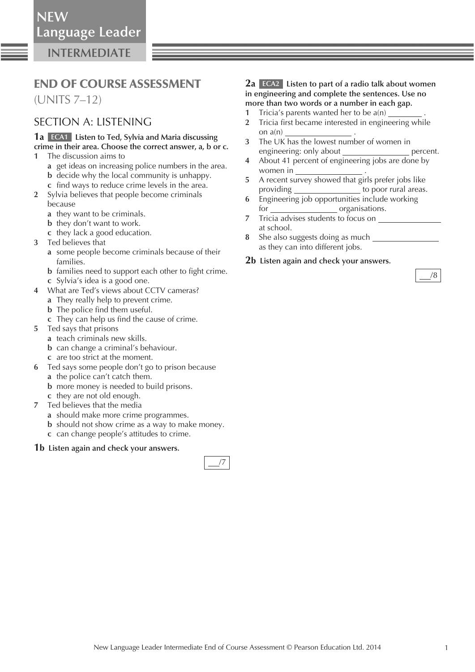**INTERMEDIATE**

# END OF COURSE ASSESSMENT

(UNITS 7–12)

### SECTION A: LISTENING

### **1a ECA1 Listen to Ted, Sylvia and Maria discussing crime in their area. Choose the correct answer, a, b or c.**

- **1** The discussion aims to
	- **a** get ideas on increasing police numbers in the area.
	- **b** decide why the local community is unhappy.
	- **c** find ways to reduce crime levels in the area.
- **2** Sylvia believes that people become criminals because
	- **a** they want to be criminals.
	- **b** they don't want to work.
	- **c** they lack a good education.
- **3** Ted believes that
	- **a** some people become criminals because of their families.
	- **b** families need to support each other to fight crime. **c** Sylvia's idea is a good one.
- **4** What are Ted's views about CCTV cameras?
	- **a** They really help to prevent crime.
	- **b** The police find them useful.
	- **c** They can help us find the cause of crime.
- **5** Ted says that prisons
	- **a** teach criminals new skills.
	- **b** can change a criminal's behaviour.
	- **c** are too strict at the moment.
- **6** Ted says some people don't go to prison because
	- **a** the police can't catch them.
	- **b** more money is needed to build prisons.
	- **c** they are not old enough.
- **7** Ted believes that the media
	- **a** should make more crime programmes.
	- **b** should not show crime as a way to make money.
	- **c** can change people's attitudes to crime.

### **1b Listen again and check your answers.**



### **2a ECA2 Listen to part of a radio talk about women in engineering and complete the sentences. Use no more than two words or a number in each gap.**

- **1** Tricia's parents wanted her to be a(n)
- **2** Tricia first became interested in engineering while on  $a(n)$
- **3** The UK has the lowest number of women in engineering: only about percent.
- **4** About 41 percent of engineering jobs are done by women in  $\overline{\phantom{a}}$
- **5** A recent survey showed that girls prefer jobs like providing to poor rural areas.
- **6** Engineering job opportunities include working for organisations.
- **7** Tricia advises students to focus on at school.
- **8** She also suggests doing as much as they can into different jobs.

### **2b Listen again and check your answers.**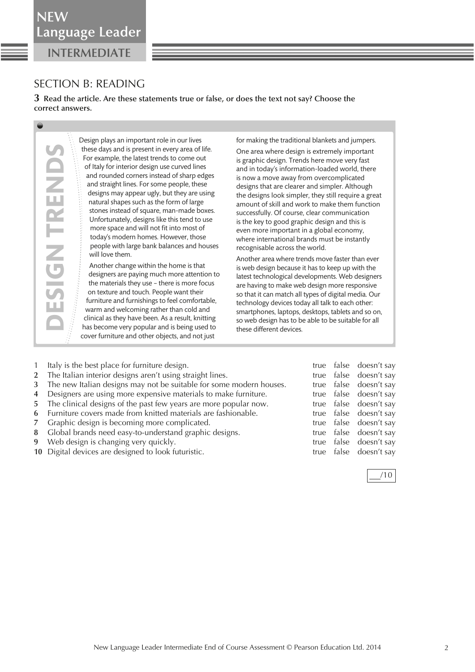**INTERMEDIATE NEW**

## SECTION B: READING

**DESIGN TRENDS**

**DESIGN TREN** 

**3 Read the article. Are these statements true or false, or does the text not say? Choose the correct answers.** 

> Design plays an important role in our lives these days and is present in every area of life. For example, the latest trends to come out of Italy for interior design use curved lines and rounded corners instead of sharp edges and straight lines. For some people, these designs may appear ugly, but they are using natural shapes such as the form of large stones instead of square, man-made boxes. Unfortunately, designs like this tend to use more space and will not fit into most of today's modern homes. However, those people with large bank balances and houses will love them.

Another change within the home is that designers are paying much more attention to the materials they use – there is more focus on texture and touch. People want their furniture and furnishings to feel comfortable, warm and welcoming rather than cold and clinical as they have been. As a result, knitting has become very popular and is being used to cover furniture and other objects, and not just

for making the traditional blankets and jumpers.

One area where design is extremely important is graphic design. Trends here move very fast and in today's information-loaded world, there is now a move away from overcomplicated designs that are clearer and simpler. Although the designs look simpler, they still require a great amount of skill and work to make them function successfully. Of course, clear communication is the key to good graphic design and this is even more important in a global economy, where international brands must be instantly recognisable across the world.

Another area where trends move faster than ever is web design because it has to keep up with the latest technological developments. Web designers are having to make web design more responsive so that it can match all types of digital media. Our technology devices today all talk to each other: smartphones, laptops, desktops, tablets and so on, so web design has to be able to be suitable for all these different devices.

| $\mathbf{1}$ | Italy is the best place for furniture design.                         |  | true false doesn't say |
|--------------|-----------------------------------------------------------------------|--|------------------------|
|              | 2 The Italian interior designs aren't using straight lines.           |  | true false doesn't say |
|              | 3 The new Italian designs may not be suitable for some modern houses. |  | true false doesn't say |
|              | 4 Designers are using more expensive materials to make furniture.     |  | true false doesn't say |
|              | 5 The clinical designs of the past few years are more popular now.    |  | true false doesn't say |
|              | 6 Furniture covers made from knitted materials are fashionable.       |  | true false doesn't say |
|              | 7 Graphic design is becoming more complicated.                        |  | true false doesn't say |
|              | 8 Global brands need easy-to-understand graphic designs.              |  | true false doesn't say |
|              | 9 Web design is changing very quickly.                                |  | true false doesn't say |
|              | 10 Digital devices are designed to look futuristic.                   |  | true false doesn't say |

| Ξ | × |
|---|---|
|   |   |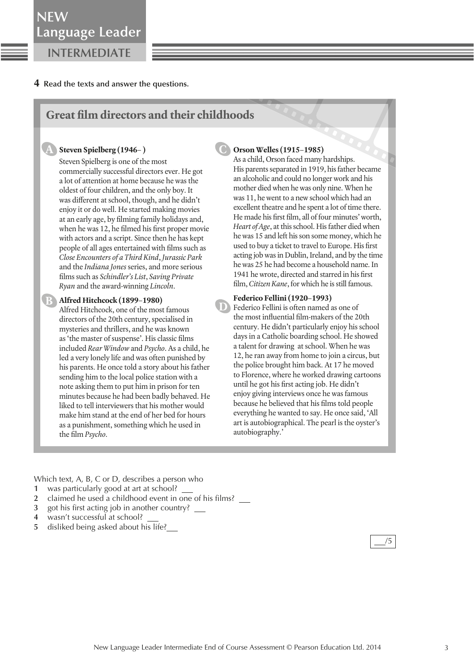### **4 Read the texts and answer the questions.**

### **Great film directors and their childhoods**

#### **Steven Spielberg (1946– )**

**A**

Steven Spielberg is one of the most commercially successful directors ever. He got a lot of attention at home because he was the oldest of four children, and the only boy. It was different at school, though, and he didn't enjoy it or do well. He started making movies at an early age, by filming family holidays and, when he was 12, he filmed his first proper movie with actors and a script. Since then he has kept people of all ages entertained with films such as *Close Encounters of a Third Kind*, *Jurassic Park* and the *Indiana Jones* series, and more serious films such as *Schindler's List*, *Saving Private Ryan* and the award-winning *Lincoln*.

### **Alfred Hitchcock (1899–1980) B**

Alfred Hitchcock, one of the most famous directors of the 20th century, specialised in mysteries and thrillers, and he was known as 'the master of suspense'. His classic films included *Rear Window* and *Psycho*. As a child, he led a very lonely life and was often punished by his parents. He once told a story about his father sending him to the local police station with a note asking them to put him in prison for ten minutes because he had been badly behaved. He liked to tell interviewers that his mother would make him stand at the end of her bed for hours as a punishment, something which he used in the film *Psycho*.

### **Orson Welles (1915–1985)**

**C**

**D**

As a child, Orson faced many hardships. His parents separated in 1919, his father became an alcoholic and could no longer work and his mother died when he was only nine. When he was 11, he went to a new school which had an excellent theatre and he spent a lot of time there. He made his first film, all of four minutes' worth, *Heart of Age*, at this school. His father died when he was 15 and left his son some money, which he used to buy a ticket to travel to Europe. His first acting job was in Dublin, Ireland, and by the time he was 25 he had become a household name. In 1941 he wrote, directed and starred in his first film, *Citizen Kane*, for which he is still famous.

#### **Federico Fellini (1920–1993)**

Federico Fellini is often named as one of the most influential film-makers of the 20th century. He didn't particularly enjoy his school days in a Catholic boarding school. He showed a talent for drawing at school. When he was 12, he ran away from home to join a circus, but the police brought him back. At 17 he moved to Florence, where he worked drawing cartoons until he got his first acting job. He didn't enjoy giving interviews once he was famous because he believed that his films told people everything he wanted to say. He once said, 'All art is autobiographical. The pearl is the oyster's autobiography.'

Which text, A, B, C or D, describes a person who

- **1** was particularly good at art at school?
- **2** claimed he used a childhood event in one of his films?
- **3** got his first acting job in another country?
- **4** wasn't successful at school?
- **5** disliked being asked about his life?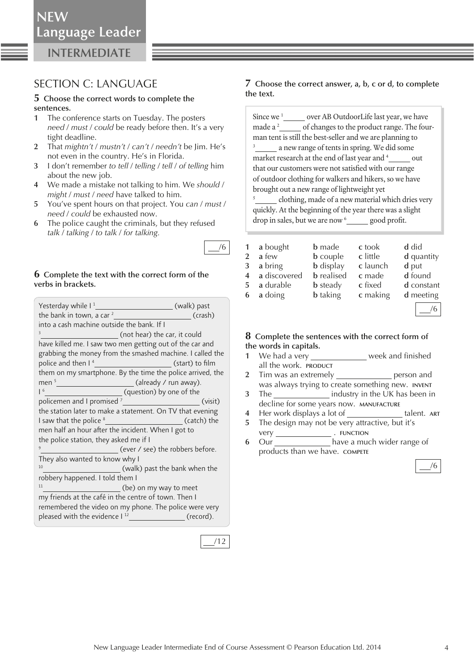### **INTERMEDIATE**

### SECTION C: LANGUAGE

#### **5 Choose the correct words to complete the sentences.**

- **1** The conference starts on Tuesday. The posters *need* / *must* / *could* be ready before then. It's a very tight deadline.
- **2** That *mightn't* / *mustn't* / *can't* / *needn't* be Jim. He's not even in the country. He's in Florida.
- **3** I don't remember *to tell* / *telling* / *tell* / *of telling* him about the new job.
- **4** We made a mistake not talking to him. We *should* / *might* / *must* / *need* have talked to him.
- **5** You've spent hours on that project. You *can* / *must* / *need* / *could* be exhausted now.
- **6** The police caught the criminals, but they refused *talk* / *talking* / *to talk* / *for talking.*

### **6 Complete the text with the correct form of the verbs in brackets.**

| Yesterday while I <sup>1</sup> ____________________________(walk) past     |  |  |  |
|----------------------------------------------------------------------------|--|--|--|
| the bank in town, a car $2\frac{1}{2}$<br>$\overline{\phantom{a}}$ (crash) |  |  |  |
| into a cash machine outside the bank. If I                                 |  |  |  |
| <sup>3</sup> _______________________________(not hear) the car, it could   |  |  |  |
| have killed me. I saw two men getting out of the car and                   |  |  |  |
| grabbing the money from the smashed machine. I called the                  |  |  |  |
| police and then I <sup>4</sup> <u> <b>Example 20</b></u> (start) to film   |  |  |  |
| them on my smartphone. By the time the police arrived, the                 |  |  |  |
| men $5$ (already / run away).                                              |  |  |  |
| I <sup>6</sup> I <sup>6</sup> (question) by one of the                     |  |  |  |
| policemen and I promised <sup>7</sup><br>(visit)                           |  |  |  |
| the station later to make a statement. On TV that evening                  |  |  |  |
| I saw that the police <sup>8</sup> ____________________________(catch) the |  |  |  |
| men half an hour after the incident. When I got to                         |  |  |  |
| the police station, they asked me if I                                     |  |  |  |
| <sup>9</sup> ________________________(ever / see) the robbers before.      |  |  |  |
| They also wanted to know why I                                             |  |  |  |
| (walk) past the bank when the<br>10                                        |  |  |  |
| robbery happened. I told them I                                            |  |  |  |
| 11<br>(be) on my way to meet                                               |  |  |  |
| my friends at the café in the centre of town. Then I                       |  |  |  |
| remembered the video on my phone. The police were very                     |  |  |  |
| pleased with the evidence I <sup>12</sup><br>(record).                     |  |  |  |



/6

### **7 Choose the correct answer, a, b, c or d, to complete the text.**

| Since we <sup>1</sup>                                  | over AB OutdoorLife last year, we have                   |  |  |  |
|--------------------------------------------------------|----------------------------------------------------------|--|--|--|
| made a <sup>2</sup>                                    | of changes to the product range. The four-               |  |  |  |
|                                                        | man tent is still the best-seller and we are planning to |  |  |  |
| 3<br>a new range of tents in spring. We did some       |                                                          |  |  |  |
| market research at the end of last year and 4<br>out   |                                                          |  |  |  |
| that our customers were not satisfied with our range   |                                                          |  |  |  |
| of outdoor clothing for walkers and hikers, so we have |                                                          |  |  |  |
| brought out a new range of lightweight yet             |                                                          |  |  |  |
| 5                                                      | clothing made of a new material which dries very         |  |  |  |

 clothing, made of a new material which dries very quickly. At the beginning of the year there was a slight drop in sales, but we are now <sup>6</sup> good profit.

| $\mathbf{1}$   | a bought     | <b>b</b> made     | c took   | d did      |
|----------------|--------------|-------------------|----------|------------|
| $\overline{2}$ | a few        | <b>b</b> couple   | c little | d quantity |
| 3              | a bring      | <b>b</b> display  | c launch | d put      |
| $\overline{4}$ | a discovered | <b>b</b> realised | c made   | d found    |
| 5.             | a durable    | <b>b</b> steady   | c fixed  | d constant |
|                | 6 a doing    | <b>b</b> taking   | c making | d meeting  |
|                |              |                   |          |            |

#### **8 Complete the sentences with the correct form of the words in capitals.**

- **1** We had a very **week and finished** all the work. **PRODUCT**
- **2** Tim was an extremely **person** and was always trying to create something new. **INVENT**
- **3** The industry in the UK has been in decline for some years now. **MANUFACTURE**
- **4** Her work displays a lot of **the contract of the talent.** ART
- **5** The design may not be very attractive, but it's very . **FUNCTION**
- **6** Our **have a much wider range of** products than we have. **COMPETE**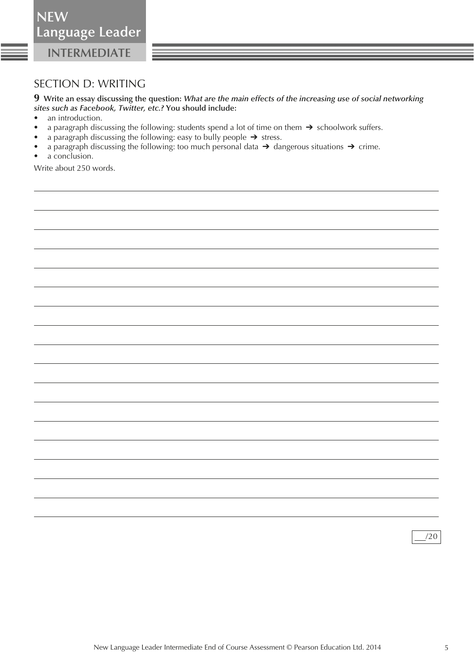**INTERMEDIATE NEW**

SECTION D: WRITING

**9 Write an essay discussing the question:** *What are the main effects of the increasing use of social networking sites such as Facebook, Twitter, etc.?* **You should include:** 

- an introduction.
- **•** a paragraph discussing the following: students spend a lot of time on them ➔ schoolwork suffers.
- **•** a paragraph discussing the following: easy to bully people ➔ stress.
- **•** a paragraph discussing the following: too much personal data ➔ dangerous situations ➔ crime.
- a conclusion.

Write about 250 words.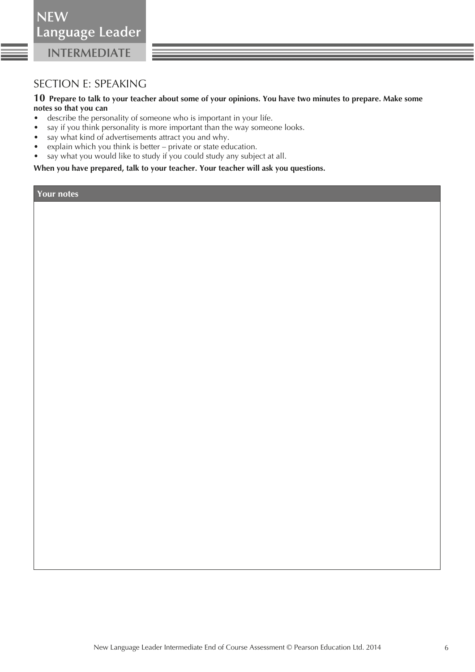## SECTION E: SPEAKING

### **10 Prepare to talk to your teacher about some of your opinions. You have two minutes to prepare. Make some notes so that you can**

- describe the personality of someone who is important in your life.
- say if you think personality is more important than the way someone looks.
- say what kind of advertisements attract you and why.
- explain which you think is better private or state education.
- say what you would like to study if you could study any subject at all.

 **When you have prepared, talk to your teacher. Your teacher will ask you questions.** 

**Your notes**